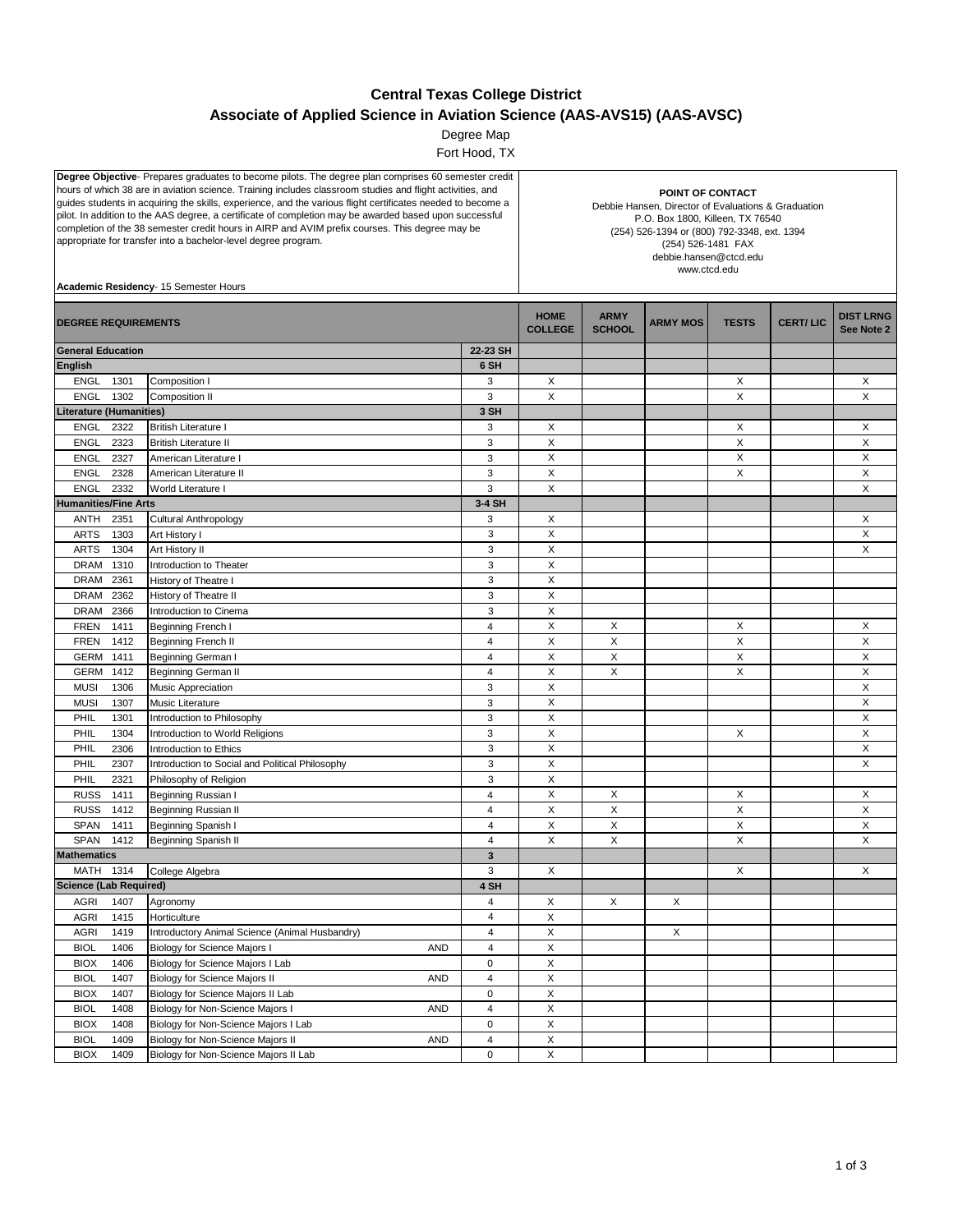## **Central Texas College District Associate of Applied Science in Aviation Science (AAS-AVS15) (AAS-AVSC)**

Degree Map

Fort Hood, TX

| Degree Objective- Prepares graduates to become pilots. The degree plan comprises 60 semester credit<br>hours of which 38 are in aviation science. Training includes classroom studies and flight activities, and<br>guides students in acquiring the skills, experience, and the various flight certificates needed to become a<br>pilot. In addition to the AAS degree, a certificate of completion may be awarded based upon successful<br>completion of the 38 semester credit hours in AIRP and AVIM prefix courses. This degree may be<br>appropriate for transfer into a bachelor-level degree program.<br>Academic Residency- 15 Semester Hours |                                                 |                              | POINT OF CONTACT<br>Debbie Hansen, Director of Evaluations & Graduation<br>P.O. Box 1800, Killeen, TX 76540<br>(254) 526-1394 or (800) 792-3348, ext. 1394<br>(254) 526-1481 FAX<br>debbie.hansen@ctcd.edu<br>www.ctcd.edu |                              |                 |              |                 |                                |  |
|--------------------------------------------------------------------------------------------------------------------------------------------------------------------------------------------------------------------------------------------------------------------------------------------------------------------------------------------------------------------------------------------------------------------------------------------------------------------------------------------------------------------------------------------------------------------------------------------------------------------------------------------------------|-------------------------------------------------|------------------------------|----------------------------------------------------------------------------------------------------------------------------------------------------------------------------------------------------------------------------|------------------------------|-----------------|--------------|-----------------|--------------------------------|--|
| <b>DEGREE REQUIREMENTS</b>                                                                                                                                                                                                                                                                                                                                                                                                                                                                                                                                                                                                                             |                                                 |                              | <b>HOME</b><br><b>COLLEGE</b>                                                                                                                                                                                              | <b>ARMY</b><br><b>SCHOOL</b> | <b>ARMY MOS</b> | <b>TESTS</b> | <b>CERT/LIC</b> | <b>DIST LRNG</b><br>See Note 2 |  |
| <b>General Education</b>                                                                                                                                                                                                                                                                                                                                                                                                                                                                                                                                                                                                                               |                                                 | 22-23 SH                     |                                                                                                                                                                                                                            |                              |                 |              |                 |                                |  |
| <b>English</b>                                                                                                                                                                                                                                                                                                                                                                                                                                                                                                                                                                                                                                         |                                                 | 6 SH                         |                                                                                                                                                                                                                            |                              |                 |              |                 |                                |  |
| <b>ENGL</b><br>1301                                                                                                                                                                                                                                                                                                                                                                                                                                                                                                                                                                                                                                    | Composition I                                   | 3                            | X                                                                                                                                                                                                                          |                              |                 | Х            |                 | Х                              |  |
| ENGL<br>1302                                                                                                                                                                                                                                                                                                                                                                                                                                                                                                                                                                                                                                           | Composition II                                  | 3                            | X                                                                                                                                                                                                                          |                              |                 | X            |                 | X                              |  |
| Literature (Humanities)                                                                                                                                                                                                                                                                                                                                                                                                                                                                                                                                                                                                                                |                                                 | 3 SH                         |                                                                                                                                                                                                                            |                              |                 |              |                 |                                |  |
| <b>ENGL</b><br>2322                                                                                                                                                                                                                                                                                                                                                                                                                                                                                                                                                                                                                                    | <b>British Literature I</b>                     | 3                            | X                                                                                                                                                                                                                          |                              |                 | X            |                 | X                              |  |
| <b>ENGL</b><br>2323                                                                                                                                                                                                                                                                                                                                                                                                                                                                                                                                                                                                                                    | <b>British Literature II</b>                    | 3                            | X                                                                                                                                                                                                                          |                              |                 | X            |                 | X                              |  |
| 2327<br>ENGL                                                                                                                                                                                                                                                                                                                                                                                                                                                                                                                                                                                                                                           | American Literature I                           | 3                            | X                                                                                                                                                                                                                          |                              |                 | X            |                 | X                              |  |
| <b>ENGL</b><br>2328                                                                                                                                                                                                                                                                                                                                                                                                                                                                                                                                                                                                                                    | American Literature II                          | 3                            | $\mathsf X$                                                                                                                                                                                                                |                              |                 | X            |                 | X                              |  |
| <b>ENGL</b><br>2332                                                                                                                                                                                                                                                                                                                                                                                                                                                                                                                                                                                                                                    | World Literature I                              | 3                            | X                                                                                                                                                                                                                          |                              |                 |              |                 | X                              |  |
| <b>Humanities/Fine Arts</b>                                                                                                                                                                                                                                                                                                                                                                                                                                                                                                                                                                                                                            |                                                 | 3-4 SH                       |                                                                                                                                                                                                                            |                              |                 |              |                 |                                |  |
| 2351<br>ANTH                                                                                                                                                                                                                                                                                                                                                                                                                                                                                                                                                                                                                                           | Cultural Anthropology                           | 3                            | X                                                                                                                                                                                                                          |                              |                 |              |                 | Χ                              |  |
| <b>ARTS</b><br>1303                                                                                                                                                                                                                                                                                                                                                                                                                                                                                                                                                                                                                                    | Art History I                                   | 3                            | X                                                                                                                                                                                                                          |                              |                 |              |                 | X                              |  |
| <b>ARTS</b><br>1304                                                                                                                                                                                                                                                                                                                                                                                                                                                                                                                                                                                                                                    | Art History II                                  | 3                            | $\pmb{\times}$                                                                                                                                                                                                             |                              |                 |              |                 | X                              |  |
| <b>DRAM</b><br>1310                                                                                                                                                                                                                                                                                                                                                                                                                                                                                                                                                                                                                                    | Introduction to Theater                         | 3                            | $\boldsymbol{\mathsf{X}}$                                                                                                                                                                                                  |                              |                 |              |                 |                                |  |
| DRAM<br>2361                                                                                                                                                                                                                                                                                                                                                                                                                                                                                                                                                                                                                                           | History of Theatre I                            | 3                            | X                                                                                                                                                                                                                          |                              |                 |              |                 |                                |  |
| 2362<br>DRAM                                                                                                                                                                                                                                                                                                                                                                                                                                                                                                                                                                                                                                           | History of Theatre II                           | 3                            | X                                                                                                                                                                                                                          |                              |                 |              |                 |                                |  |
| <b>DRAM</b><br>2366                                                                                                                                                                                                                                                                                                                                                                                                                                                                                                                                                                                                                                    | Introduction to Cinema                          | 3                            | X                                                                                                                                                                                                                          |                              |                 |              |                 |                                |  |
| FREN<br>1411                                                                                                                                                                                                                                                                                                                                                                                                                                                                                                                                                                                                                                           | Beginning French I                              | 4                            | X                                                                                                                                                                                                                          | Х                            |                 | Х            |                 | Х                              |  |
| <b>FREN</b><br>1412                                                                                                                                                                                                                                                                                                                                                                                                                                                                                                                                                                                                                                    | <b>Beginning French II</b>                      | $\overline{4}$               | X                                                                                                                                                                                                                          | X                            |                 | X            |                 | X                              |  |
| <b>GERM</b><br>1411                                                                                                                                                                                                                                                                                                                                                                                                                                                                                                                                                                                                                                    | Beginning German I                              | 4                            | X                                                                                                                                                                                                                          | X                            |                 | X            |                 | X                              |  |
| <b>GERM</b><br>1412                                                                                                                                                                                                                                                                                                                                                                                                                                                                                                                                                                                                                                    | Beginning German II                             | $\overline{4}$               | X                                                                                                                                                                                                                          | $\times$                     |                 | X            |                 | X                              |  |
| <b>MUSI</b><br>1306                                                                                                                                                                                                                                                                                                                                                                                                                                                                                                                                                                                                                                    | Music Appreciation                              | 3                            | $\boldsymbol{\mathsf{X}}$                                                                                                                                                                                                  |                              |                 |              |                 | X                              |  |
| 1307<br><b>MUSI</b>                                                                                                                                                                                                                                                                                                                                                                                                                                                                                                                                                                                                                                    | Music Literature                                | 3                            | X                                                                                                                                                                                                                          |                              |                 |              |                 | X                              |  |
| PHIL<br>1301                                                                                                                                                                                                                                                                                                                                                                                                                                                                                                                                                                                                                                           |                                                 | 3                            | $\boldsymbol{\mathsf{X}}$                                                                                                                                                                                                  |                              |                 |              |                 | X                              |  |
| 1304                                                                                                                                                                                                                                                                                                                                                                                                                                                                                                                                                                                                                                                   | Introduction to Philosophy                      | 3                            | X                                                                                                                                                                                                                          |                              |                 | X            |                 | X                              |  |
| PHIL<br>PHIL                                                                                                                                                                                                                                                                                                                                                                                                                                                                                                                                                                                                                                           | Introduction to World Religions                 | 3                            | X                                                                                                                                                                                                                          |                              |                 |              |                 | X                              |  |
| 2306<br>2307                                                                                                                                                                                                                                                                                                                                                                                                                                                                                                                                                                                                                                           | Introduction to Ethics                          | 3                            | X                                                                                                                                                                                                                          |                              |                 |              |                 | X                              |  |
| PHIL                                                                                                                                                                                                                                                                                                                                                                                                                                                                                                                                                                                                                                                   | Introduction to Social and Political Philosophy | 3                            | X                                                                                                                                                                                                                          |                              |                 |              |                 |                                |  |
| PHIL<br>2321                                                                                                                                                                                                                                                                                                                                                                                                                                                                                                                                                                                                                                           | Philosophy of Religion                          | 4                            | X                                                                                                                                                                                                                          |                              |                 |              |                 |                                |  |
| <b>RUSS</b><br>1411                                                                                                                                                                                                                                                                                                                                                                                                                                                                                                                                                                                                                                    | Beginning Russian I                             | $\overline{\mathbf{4}}$      | $\boldsymbol{\mathsf{X}}$                                                                                                                                                                                                  | X<br>$\times$                |                 | Х<br>X       |                 | X<br>X                         |  |
| <b>RUSS</b><br>1412<br>SPAN<br>1411                                                                                                                                                                                                                                                                                                                                                                                                                                                                                                                                                                                                                    | <b>Beginning Russian II</b>                     | $\overline{4}$               | $\pmb{\times}$                                                                                                                                                                                                             | X                            |                 | X            |                 | X                              |  |
| SPAN<br>1412                                                                                                                                                                                                                                                                                                                                                                                                                                                                                                                                                                                                                                           | Beginning Spanish I                             | $\overline{4}$               | X                                                                                                                                                                                                                          | X                            |                 | X            |                 | X                              |  |
| <b>Mathematics</b>                                                                                                                                                                                                                                                                                                                                                                                                                                                                                                                                                                                                                                     | Beginning Spanish II                            | $\overline{\mathbf{3}}$      |                                                                                                                                                                                                                            |                              |                 |              |                 |                                |  |
|                                                                                                                                                                                                                                                                                                                                                                                                                                                                                                                                                                                                                                                        |                                                 |                              |                                                                                                                                                                                                                            |                              |                 |              |                 |                                |  |
| MATH 1314<br><b>Science (Lab Required)</b>                                                                                                                                                                                                                                                                                                                                                                                                                                                                                                                                                                                                             | College Algebra                                 | 3<br>4 SH                    | X                                                                                                                                                                                                                          |                              |                 | X            |                 | X                              |  |
|                                                                                                                                                                                                                                                                                                                                                                                                                                                                                                                                                                                                                                                        |                                                 |                              |                                                                                                                                                                                                                            |                              |                 |              |                 |                                |  |
| 1407<br><b>AGRI</b>                                                                                                                                                                                                                                                                                                                                                                                                                                                                                                                                                                                                                                    | Agronomy                                        | 4                            | X                                                                                                                                                                                                                          | X                            | X               |              |                 |                                |  |
| 1415<br><b>AGRI</b>                                                                                                                                                                                                                                                                                                                                                                                                                                                                                                                                                                                                                                    | Horticulture                                    | $\sqrt{4}$<br>$\overline{4}$ | $\mathsf X$                                                                                                                                                                                                                |                              |                 |              |                 |                                |  |
| 1419<br><b>AGRI</b>                                                                                                                                                                                                                                                                                                                                                                                                                                                                                                                                                                                                                                    | Introductory Animal Science (Animal Husbandry)  | $\overline{4}$               | $\mathsf X$<br>$\mathsf X$                                                                                                                                                                                                 |                              | X               |              |                 |                                |  |
| <b>BIOL</b><br>1406                                                                                                                                                                                                                                                                                                                                                                                                                                                                                                                                                                                                                                    | <b>Biology for Science Majors I</b><br>AND      |                              |                                                                                                                                                                                                                            |                              |                 |              |                 |                                |  |
| <b>BIOX</b><br>1406                                                                                                                                                                                                                                                                                                                                                                                                                                                                                                                                                                                                                                    | Biology for Science Majors I Lab                | 0                            | X                                                                                                                                                                                                                          |                              |                 |              |                 |                                |  |
| <b>BIOL</b><br>1407                                                                                                                                                                                                                                                                                                                                                                                                                                                                                                                                                                                                                                    | Biology for Science Majors II<br>AND            | $\overline{\mathbf{4}}$      | X                                                                                                                                                                                                                          |                              |                 |              |                 |                                |  |
| <b>BIOX</b><br>1407                                                                                                                                                                                                                                                                                                                                                                                                                                                                                                                                                                                                                                    | Biology for Science Majors II Lab               | 0                            | X                                                                                                                                                                                                                          |                              |                 |              |                 |                                |  |
| 1408<br><b>BIOL</b>                                                                                                                                                                                                                                                                                                                                                                                                                                                                                                                                                                                                                                    | Biology for Non-Science Majors I<br><b>AND</b>  | 4                            | X                                                                                                                                                                                                                          |                              |                 |              |                 |                                |  |
| <b>BIOX</b><br>1408                                                                                                                                                                                                                                                                                                                                                                                                                                                                                                                                                                                                                                    | Biology for Non-Science Majors I Lab            | 0                            | Χ                                                                                                                                                                                                                          |                              |                 |              |                 |                                |  |
| <b>BIOL</b><br>1409                                                                                                                                                                                                                                                                                                                                                                                                                                                                                                                                                                                                                                    | Biology for Non-Science Majors II<br>AND        | $\overline{\mathbf{4}}$      | $\mathsf X$                                                                                                                                                                                                                |                              |                 |              |                 |                                |  |
| <b>BIOX</b><br>1409                                                                                                                                                                                                                                                                                                                                                                                                                                                                                                                                                                                                                                    | Biology for Non-Science Majors II Lab           | 0                            | $\mathsf X$                                                                                                                                                                                                                |                              |                 |              |                 |                                |  |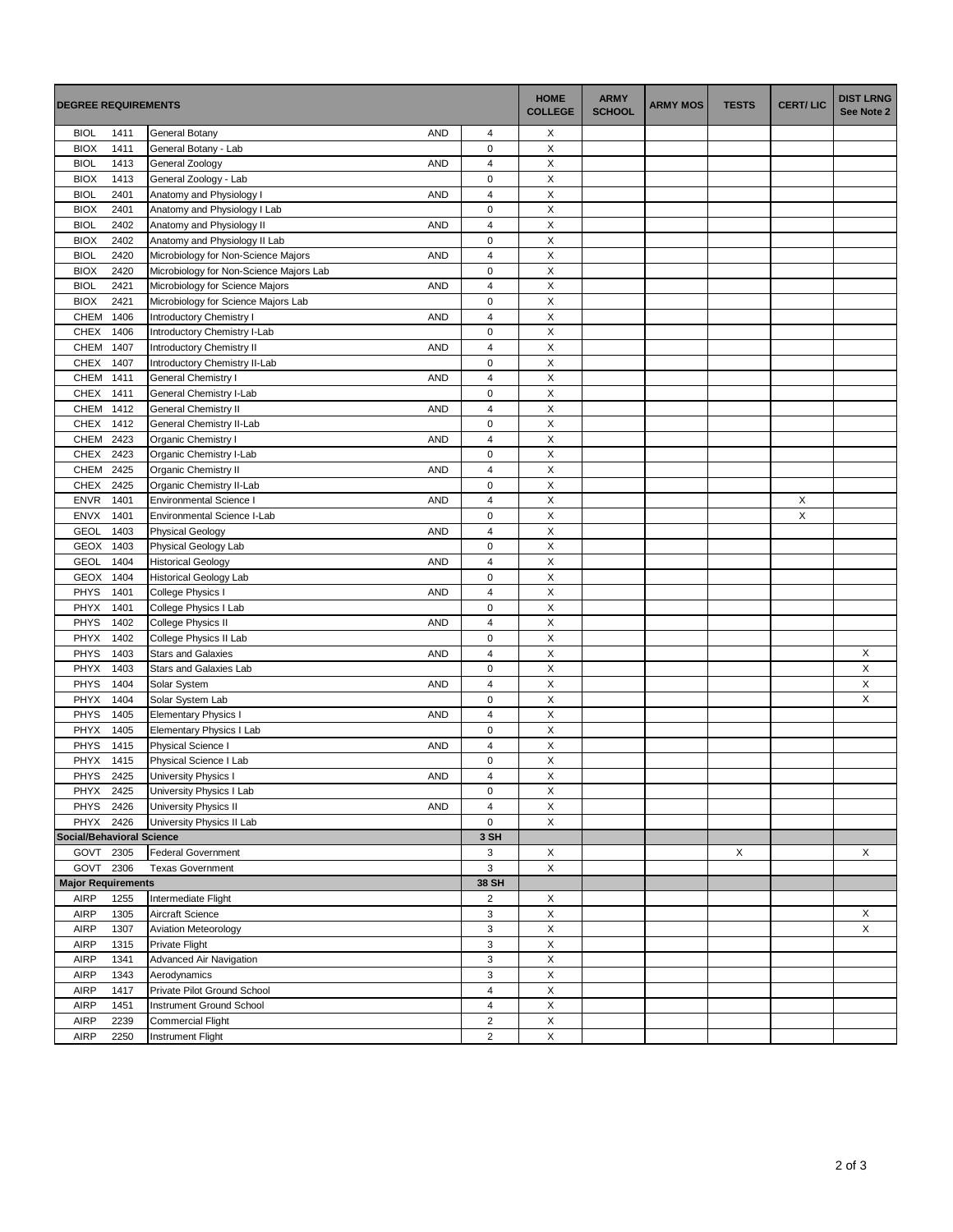| <b>DEGREE REQUIREMENTS</b>       |              |                                                                   |                         | <b>HOME</b><br><b>COLLEGE</b> | <b>ARMY</b><br><b>SCHOOL</b> | <b>ARMY MOS</b> | <b>TESTS</b> | <b>CERT/LIC</b> | <b>DIST LRNG</b><br>See Note 2 |
|----------------------------------|--------------|-------------------------------------------------------------------|-------------------------|-------------------------------|------------------------------|-----------------|--------------|-----------------|--------------------------------|
| <b>BIOL</b>                      | 1411         | General Botany<br><b>AND</b>                                      | 4                       | Х                             |                              |                 |              |                 |                                |
| <b>BIOX</b>                      | 1411         | General Botany - Lab                                              | $\mathbf 0$             | X                             |                              |                 |              |                 |                                |
| <b>BIOL</b>                      | 1413         | <b>AND</b><br>General Zoology                                     | $\overline{\mathbf{4}}$ | X                             |                              |                 |              |                 |                                |
| <b>BIOX</b>                      | 1413         | General Zoology - Lab                                             | $\mathsf 0$             | X                             |                              |                 |              |                 |                                |
| <b>BIOL</b>                      | 2401         | Anatomy and Physiology I<br><b>AND</b>                            | $\overline{4}$          | X                             |                              |                 |              |                 |                                |
| <b>BIOX</b>                      | 2401         | Anatomy and Physiology I Lab                                      | $\mathsf 0$             | X                             |                              |                 |              |                 |                                |
| <b>BIOL</b>                      | 2402         | Anatomy and Physiology II<br><b>AND</b>                           | $\overline{\mathbf{4}}$ | X                             |                              |                 |              |                 |                                |
| <b>BIOX</b>                      | 2402         | Anatomy and Physiology II Lab                                     | 0                       | X                             |                              |                 |              |                 |                                |
| <b>BIOL</b>                      | 2420         | Microbiology for Non-Science Majors<br><b>AND</b>                 | $\overline{4}$          | Χ                             |                              |                 |              |                 |                                |
| <b>BIOX</b>                      | 2420         | Microbiology for Non-Science Majors Lab                           | $\mathbf 0$             | X                             |                              |                 |              |                 |                                |
| <b>BIOL</b>                      | 2421         | <b>AND</b><br>Microbiology for Science Majors                     | $\overline{4}$          | X                             |                              |                 |              |                 |                                |
| <b>BIOX</b>                      | 2421         | Microbiology for Science Majors Lab                               | $\mathbf 0$             | X                             |                              |                 |              |                 |                                |
| CHEM                             | 1406         | Introductory Chemistry I<br><b>AND</b>                            | 4                       | X                             |                              |                 |              |                 |                                |
| <b>CHEX</b>                      | 1406         | Introductory Chemistry I-Lab                                      | $\mathbf 0$             | X                             |                              |                 |              |                 |                                |
| CHEM 1407                        |              | Introductory Chemistry II<br><b>AND</b>                           | 4                       | Χ                             |                              |                 |              |                 |                                |
| <b>CHEX</b>                      | 1407         | Introductory Chemistry II-Lab                                     | $\mathbf 0$             | X                             |                              |                 |              |                 |                                |
| CHEM 1411                        |              | General Chemistry I<br><b>AND</b>                                 | $\overline{4}$          | X                             |                              |                 |              |                 |                                |
| CHEX                             | 1411         | General Chemistry I-Lab                                           | $\mathsf 0$             | X                             |                              |                 |              |                 |                                |
| CHEM 1412                        |              | General Chemistry II<br><b>AND</b>                                | $\overline{4}$          | X                             |                              |                 |              |                 |                                |
| CHEX                             | 1412         | General Chemistry II-Lab                                          | $\mathsf 0$             | X                             |                              |                 |              |                 |                                |
| CHEM 2423                        |              | Organic Chemistry I<br><b>AND</b>                                 | 4                       | X                             |                              |                 |              |                 |                                |
| CHEX 2423                        |              | Organic Chemistry I-Lab                                           | $\mathsf 0$             | X                             |                              |                 |              |                 |                                |
| CHEM 2425                        |              | <b>AND</b><br>Organic Chemistry II                                | $\overline{4}$          | X                             |                              |                 |              |                 |                                |
| CHEX                             | 2425         | Organic Chemistry II-Lab                                          | $\mathsf 0$             | X                             |                              |                 |              |                 |                                |
| <b>ENVR</b>                      | 1401         | <b>Environmental Science I</b><br><b>AND</b>                      | $\overline{4}$          | X                             |                              |                 |              | X               |                                |
| <b>ENVX</b>                      | 1401         | Environmental Science I-Lab                                       | $\mathbf 0$             | X                             |                              |                 |              | X               |                                |
| <b>GEOL</b>                      | 1403         | <b>Physical Geology</b><br><b>AND</b>                             | $\overline{4}$          | X                             |                              |                 |              |                 |                                |
| GEOX 1403                        |              | Physical Geology Lab                                              | $\mathsf 0$             | $\mathsf X$                   |                              |                 |              |                 |                                |
| <b>GEOL</b>                      | 1404         | <b>Historical Geology</b><br><b>AND</b>                           | $\overline{4}$          | X                             |                              |                 |              |                 |                                |
| GEOX                             | 1404         | <b>Historical Geology Lab</b>                                     | $\mathsf 0$             | X                             |                              |                 |              |                 |                                |
| <b>PHYS</b>                      | 1401         | College Physics I<br><b>AND</b>                                   | $\overline{\mathbf{4}}$ | X                             |                              |                 |              |                 |                                |
| PHYX                             | 1401         | College Physics I Lab                                             | $\mathsf 0$             | X                             |                              |                 |              |                 |                                |
| <b>PHYS</b>                      | 1402         | <b>AND</b>                                                        | 4                       | X                             |                              |                 |              |                 |                                |
| PHYX                             | 1402         | College Physics II                                                | $\mathsf 0$             | X                             |                              |                 |              |                 |                                |
| <b>PHYS</b>                      | 1403         | College Physics II Lab<br><b>Stars and Galaxies</b><br><b>AND</b> | $\overline{4}$          | X                             |                              |                 |              |                 |                                |
| PHYX                             | 1403         | Stars and Galaxies Lab                                            | $\mathbf 0$             | X                             |                              |                 |              |                 | X<br>X                         |
| <b>PHYS</b>                      |              |                                                                   | $\overline{4}$          | Χ                             |                              |                 |              |                 | X                              |
|                                  | 1404<br>1404 | Solar System<br><b>AND</b>                                        | $\mathsf 0$             | X                             |                              |                 |              |                 | X                              |
| PHYX                             |              | Solar System Lab<br><b>AND</b>                                    | $\overline{\mathbf{4}}$ | X                             |                              |                 |              |                 |                                |
| <b>PHYS</b>                      | 1405         | <b>Elementary Physics I</b>                                       |                         |                               |                              |                 |              |                 |                                |
| PHYX                             | 1405         | Elementary Physics I Lab                                          | 0                       | X                             |                              |                 |              |                 |                                |
| <b>PHYS</b>                      | 1415         | Physical Science I<br><b>AND</b>                                  | $\overline{4}$          | X                             |                              |                 |              |                 |                                |
| PHYX                             | 1415         | Physical Science I Lab                                            | 0                       | X                             |                              |                 |              |                 |                                |
| PHYS                             | 2425         | University Physics I<br><b>AND</b>                                | 4                       | X                             |                              |                 |              |                 |                                |
| PHYX 2425                        |              | University Physics I Lab                                          | $\mathsf 0$             | X                             |                              |                 |              |                 |                                |
| PHYS 2426                        |              | University Physics II<br><b>AND</b>                               | $\overline{4}$          | X                             |                              |                 |              |                 |                                |
| PHYX 2426                        |              | University Physics II Lab                                         | 0                       | X                             |                              |                 |              |                 |                                |
| <b>Social/Behavioral Science</b> |              |                                                                   | 3 SH                    |                               |                              |                 |              |                 |                                |
| GOVT 2305                        |              | <b>Federal Government</b>                                         | 3                       | X                             |                              |                 | X            |                 | X                              |
| GOVT 2306                        |              | <b>Texas Government</b>                                           | 3                       | X                             |                              |                 |              |                 |                                |
| <b>Major Requirements</b>        |              |                                                                   | 38 SH                   |                               |                              |                 |              |                 |                                |
| <b>AIRP</b>                      | 1255         | Intermediate Flight                                               | $\overline{2}$          | X                             |                              |                 |              |                 |                                |
| AIRP                             | 1305         | Aircraft Science                                                  | $\mathsf 3$             | X                             |                              |                 |              |                 | X<br>X                         |
| <b>AIRP</b>                      | 1307         | <b>Aviation Meteorology</b>                                       | 3                       | X                             |                              |                 |              |                 |                                |
| <b>AIRP</b>                      | 1315         | Private Flight                                                    | 3                       | X                             |                              |                 |              |                 |                                |
| <b>AIRP</b>                      | 1341         | Advanced Air Navigation                                           | 3                       | X                             |                              |                 |              |                 |                                |
| <b>AIRP</b>                      | 1343         | Aerodynamics                                                      | $\mathsf 3$             | X                             |                              |                 |              |                 |                                |
| <b>AIRP</b>                      | 1417         | Private Pilot Ground School                                       | 4                       | X                             |                              |                 |              |                 |                                |
| <b>AIRP</b>                      | 1451         | Instrument Ground School                                          | 4                       | X                             |                              |                 |              |                 |                                |
| <b>AIRP</b>                      | 2239         | <b>Commercial Flight</b>                                          | $\overline{\mathbf{c}}$ | X                             |                              |                 |              |                 |                                |
| AIRP                             | 2250         | Instrument Flight                                                 | $\overline{2}$          | X                             |                              |                 |              |                 |                                |